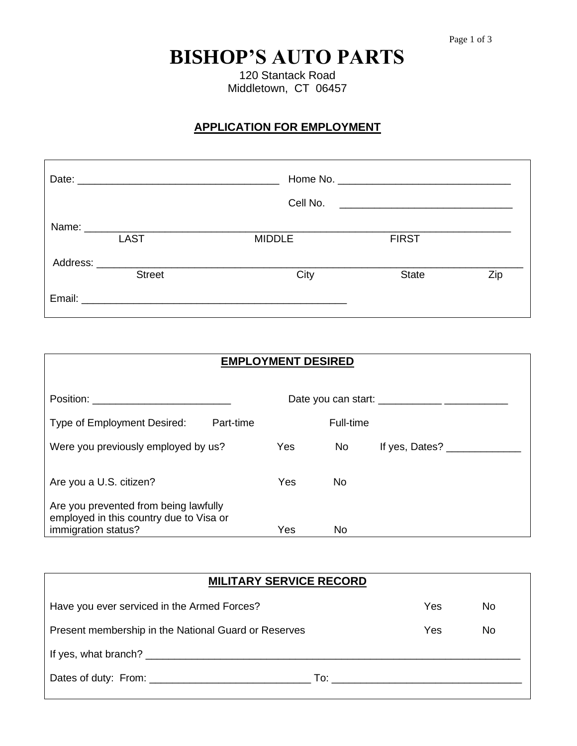# **BISHOP'S AUTO PARTS**

120 Stantack Road Middletown, CT 06457

# **APPLICATION FOR EMPLOYMENT**

|          |                                                                                                                                                                                                                                |               | Cell No. <u>______________________________</u> |     |
|----------|--------------------------------------------------------------------------------------------------------------------------------------------------------------------------------------------------------------------------------|---------------|------------------------------------------------|-----|
|          |                                                                                                                                                                                                                                |               |                                                |     |
|          | <b>LAST</b>                                                                                                                                                                                                                    | <b>MIDDLE</b> | <b>FIRST</b>                                   |     |
| Address: | <u> 1980 - Jan Samuel Barbara, martin d</u>                                                                                                                                                                                    |               |                                                |     |
|          | <b>Street</b>                                                                                                                                                                                                                  | City          | <b>State</b>                                   | Zip |
|          | Email: Email: Email: Email: Email: Email: Email: Email: Email: Email: Email: Email: Email: Email: Email: Email: Email: Email: Email: Email: Email: Email: Email: Email: Email: Email: Email: Email: Email: Email: Email: Email |               |                                                |     |

| <b>EMPLOYMENT DESIRED</b>                                                                                                                                                                                                     |     |           |                |  |  |
|-------------------------------------------------------------------------------------------------------------------------------------------------------------------------------------------------------------------------------|-----|-----------|----------------|--|--|
| Position: the contract of the contract of the contract of the contract of the contract of the contract of the contract of the contract of the contract of the contract of the contract of the contract of the contract of the |     |           |                |  |  |
| Type of Employment Desired:<br>Part-time                                                                                                                                                                                      |     | Full-time |                |  |  |
| Were you previously employed by us?                                                                                                                                                                                           | Yes | <b>No</b> | If yes, Dates? |  |  |
| Are you a U.S. citizen?                                                                                                                                                                                                       | Yes | No.       |                |  |  |
| Are you prevented from being lawfully<br>employed in this country due to Visa or<br>immigration status?                                                                                                                       | Yes | No        |                |  |  |

| <b>MILITARY SERVICE RECORD</b>                       |     |     |  |  |
|------------------------------------------------------|-----|-----|--|--|
| Have you ever serviced in the Armed Forces?          | Yes | No. |  |  |
| Present membership in the National Guard or Reserves | Yes | No. |  |  |
| If yes, what branch?                                 |     |     |  |  |
|                                                      |     |     |  |  |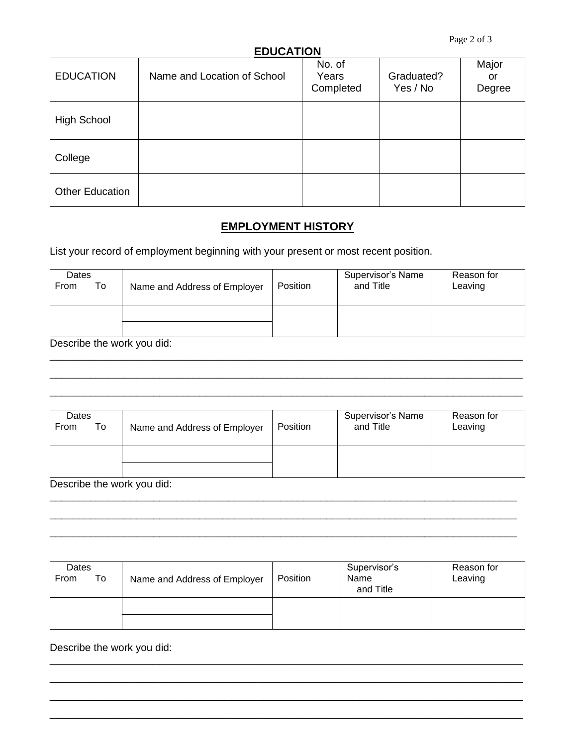#### **EDUCATION**

|                        | -- - - -                    |                              |                        |                       |
|------------------------|-----------------------------|------------------------------|------------------------|-----------------------|
| <b>EDUCATION</b>       | Name and Location of School | No. of<br>Years<br>Completed | Graduated?<br>Yes / No | Major<br>or<br>Degree |
| <b>High School</b>     |                             |                              |                        |                       |
| College                |                             |                              |                        |                       |
| <b>Other Education</b> |                             |                              |                        |                       |

## **EMPLOYMENT HISTORY**

List your record of employment beginning with your present or most recent position.

| Dates<br>To<br>From | Name and Address of Employer | Position | Supervisor's Name<br>and Title | Reason for<br>Leaving |
|---------------------|------------------------------|----------|--------------------------------|-----------------------|
|                     |                              |          |                                |                       |
| Dg                  |                              |          |                                |                       |

\_\_\_\_\_\_\_\_\_\_\_\_\_\_\_\_\_\_\_\_\_\_\_\_\_\_\_\_\_\_\_\_\_\_\_\_\_\_\_\_\_\_\_\_\_\_\_\_\_\_\_\_\_\_\_\_\_\_\_\_\_\_\_\_\_\_\_\_\_\_\_\_\_\_\_\_\_\_\_\_\_\_ \_\_\_\_\_\_\_\_\_\_\_\_\_\_\_\_\_\_\_\_\_\_\_\_\_\_\_\_\_\_\_\_\_\_\_\_\_\_\_\_\_\_\_\_\_\_\_\_\_\_\_\_\_\_\_\_\_\_\_\_\_\_\_\_\_\_\_\_\_\_\_\_\_\_\_\_\_\_\_\_\_\_ \_\_\_\_\_\_\_\_\_\_\_\_\_\_\_\_\_\_\_\_\_\_\_\_\_\_\_\_\_\_\_\_\_\_\_\_\_\_\_\_\_\_\_\_\_\_\_\_\_\_\_\_\_\_\_\_\_\_\_\_\_\_\_\_\_\_\_\_\_\_\_\_\_\_\_\_\_\_\_\_\_\_

Describe the work you did:

| Dates<br>To<br>From        | Name and Address of Employer | Position | Supervisor's Name<br>and Title | Reason for<br>Leaving |
|----------------------------|------------------------------|----------|--------------------------------|-----------------------|
|                            |                              |          |                                |                       |
| Describe the work you did: |                              |          |                                |                       |

\_\_\_\_\_\_\_\_\_\_\_\_\_\_\_\_\_\_\_\_\_\_\_\_\_\_\_\_\_\_\_\_\_\_\_\_\_\_\_\_\_\_\_\_\_\_\_\_\_\_\_\_\_\_\_\_\_\_\_\_\_\_\_\_\_\_\_\_\_\_\_\_\_\_\_\_\_\_\_\_\_ \_\_\_\_\_\_\_\_\_\_\_\_\_\_\_\_\_\_\_\_\_\_\_\_\_\_\_\_\_\_\_\_\_\_\_\_\_\_\_\_\_\_\_\_\_\_\_\_\_\_\_\_\_\_\_\_\_\_\_\_\_\_\_\_\_\_\_\_\_\_\_\_\_\_\_\_\_\_\_\_\_ \_\_\_\_\_\_\_\_\_\_\_\_\_\_\_\_\_\_\_\_\_\_\_\_\_\_\_\_\_\_\_\_\_\_\_\_\_\_\_\_\_\_\_\_\_\_\_\_\_\_\_\_\_\_\_\_\_\_\_\_\_\_\_\_\_\_\_\_\_\_\_\_\_\_\_\_\_\_\_\_\_

| Dates<br>From<br>To | Name and Address of Employer | <b>Position</b> | Supervisor's<br>Name<br>and Title | Reason for<br>Leaving |
|---------------------|------------------------------|-----------------|-----------------------------------|-----------------------|
|                     |                              |                 |                                   |                       |

\_\_\_\_\_\_\_\_\_\_\_\_\_\_\_\_\_\_\_\_\_\_\_\_\_\_\_\_\_\_\_\_\_\_\_\_\_\_\_\_\_\_\_\_\_\_\_\_\_\_\_\_\_\_\_\_\_\_\_\_\_\_\_\_\_\_\_\_\_\_\_\_\_\_\_\_\_\_\_\_\_\_ \_\_\_\_\_\_\_\_\_\_\_\_\_\_\_\_\_\_\_\_\_\_\_\_\_\_\_\_\_\_\_\_\_\_\_\_\_\_\_\_\_\_\_\_\_\_\_\_\_\_\_\_\_\_\_\_\_\_\_\_\_\_\_\_\_\_\_\_\_\_\_\_\_\_\_\_\_\_\_\_\_\_ \_\_\_\_\_\_\_\_\_\_\_\_\_\_\_\_\_\_\_\_\_\_\_\_\_\_\_\_\_\_\_\_\_\_\_\_\_\_\_\_\_\_\_\_\_\_\_\_\_\_\_\_\_\_\_\_\_\_\_\_\_\_\_\_\_\_\_\_\_\_\_\_\_\_\_\_\_\_\_\_\_\_ \_\_\_\_\_\_\_\_\_\_\_\_\_\_\_\_\_\_\_\_\_\_\_\_\_\_\_\_\_\_\_\_\_\_\_\_\_\_\_\_\_\_\_\_\_\_\_\_\_\_\_\_\_\_\_\_\_\_\_\_\_\_\_\_\_\_\_\_\_\_\_\_\_\_\_\_\_\_\_\_\_\_

Describe the work you did: